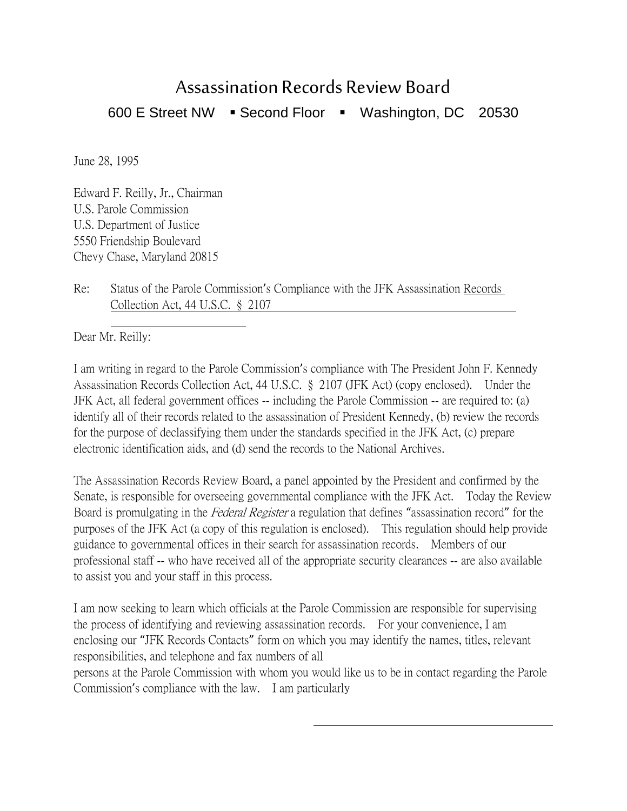## Assassination Records Review Board 600 E Street NW · Second Floor · Washington, DC 20530

June 28, 1995

Edward F. Reilly, Jr., Chairman U.S. Parole Commission U.S. Department of Justice 5550 Friendship Boulevard Chevy Chase, Maryland 20815

Re: Status of the Parole Commission's Compliance with the JFK Assassination Records Collection Act, 44 U.S.C. § 2107

 Dear Mr. Reilly:

I am writing in regard to the Parole Commission's compliance with The President John F. Kennedy Assassination Records Collection Act, 44 U.S.C. § 2107 (JFK Act) (copy enclosed). Under the JFK Act, all federal government offices -- including the Parole Commission -- are required to: (a) identify all of their records related to the assassination of President Kennedy, (b) review the records for the purpose of declassifying them under the standards specified in the JFK Act, (c) prepare electronic identification aids, and (d) send the records to the National Archives.

The Assassination Records Review Board, a panel appointed by the President and confirmed by the Senate, is responsible for overseeing governmental compliance with the JFK Act. Today the Review Board is promulgating in the Federal Register a regulation that defines "assassination record" for the purposes of the JFK Act (a copy of this regulation is enclosed). This regulation should help provide guidance to governmental offices in their search for assassination records. Members of our professional staff -- who have received all of the appropriate security clearances -- are also available to assist you and your staff in this process.

I am now seeking to learn which officials at the Parole Commission are responsible for supervising the process of identifying and reviewing assassination records. For your convenience, I am enclosing our "JFK Records Contacts" form on which you may identify the names, titles, relevant responsibilities, and telephone and fax numbers of all

persons at the Parole Commission with whom you would like us to be in contact regarding the Parole Commission's compliance with the law. I am particularly

 $\overline{a}$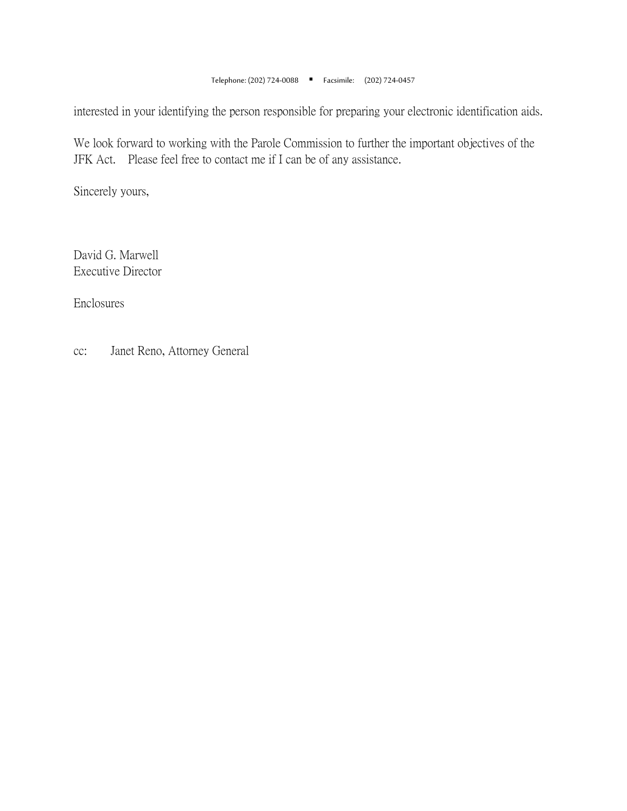Telephone: (202) 724-0088 Facsimile: (202) 724-0457

interested in your identifying the person responsible for preparing your electronic identification aids.

We look forward to working with the Parole Commission to further the important objectives of the JFK Act. Please feel free to contact me if I can be of any assistance.

Sincerely yours,

David G. Marwell Executive Director

Enclosures

cc: Janet Reno, Attorney General